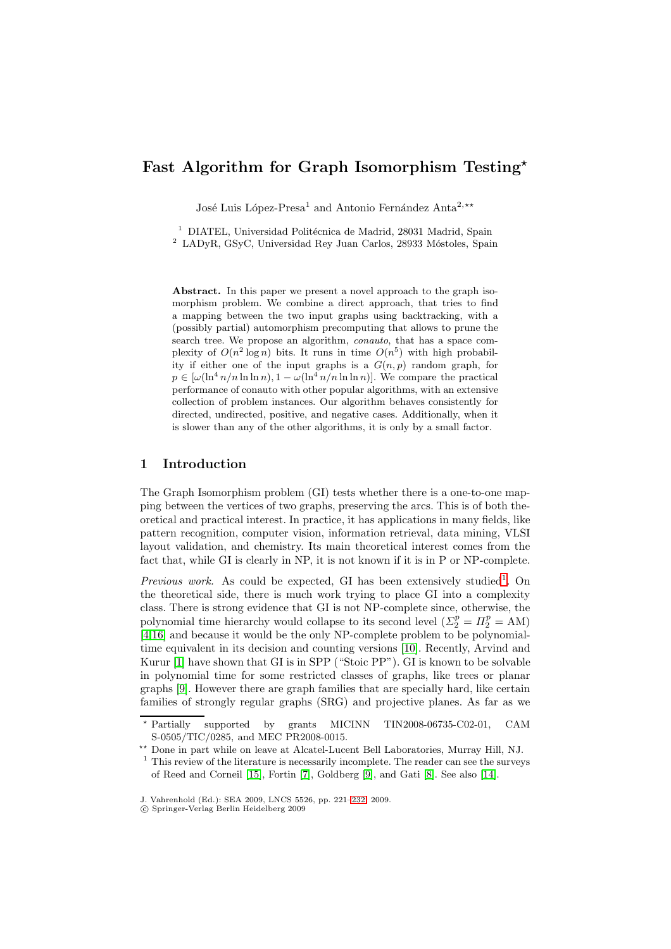# **Fast Algorithm for Graph Isomorphism Testing***-*

José Luis López-Presa<sup>1</sup> and Antonio Fernández Anta<sup>2,\*\*</sup>

 $^{\rm 1}$  DIATEL, Universidad Politécnica de Madrid, 28031 Madrid, Spain

 $2$  LADyR, GSyC, Universidad Rey Juan Carlos, 28933 Móstoles, Spain

**Abstract.** In this paper we present a novel approach to the graph isomorphism problem. We combine a direct approach, that tries to find a mapping between the two input graphs using backtracking, with a (possibly partial) automorphism precomputing that allows to prune the search tree. We propose an algorithm, *conauto*, that has a space complexity of  $O(n^2 \log n)$  bits. It runs in time  $O(n^5)$  with high probability if either one of the input graphs is a  $G(n, p)$  random graph, for  $p \in [\omega(\ln^4 n/n \ln \ln n), 1 - \omega(\ln^4 n/n \ln \ln n)]$ . We compare the practical performance of conauto with other popular algorithms, with an extensive collection of problem instances. Our algorithm behaves consistently for directed, undirected, positive, and negative cases. Additionally, when it is slower than any of the other algorithms, it is only by a small factor.

### **1 Introduction**

The Graph Isomorphism problem (GI) tests whether there is a one-to-one mapping between the vertices of two graphs, preserving the arcs. This is of both theoretical and practical interest. In practice, it has applications in many fields, like pattern recognition, computer vision, information retrieval, data mining, VLSI layout validation, and chemistry. Its main theoretical interest comes from the fact that, while GI is clearly in NP, it is not known if it is in P or NP-complete.

*Previous work.* As could be expected, GI has been extensively studied<sup>1</sup>. On the theoretical side, there is much work trying to place GI into a complexity class. There is strong evidence that GI is not NP-complete since, otherwise, the polynomial time hierarchy would collapse to its second level  $(\Sigma_2^p = \Pi_2^p = AM)$ [4,16] and because it would be the only NP-complete problem to be polynomialtime equivalent in its decision and counting versions [10]. Recently, Arvind and Kurur [1] have shown that GI is in SPP ("Stoic PP"). GI is known to be solvable in polynomial time for some restricted classes of graphs, like trees or planar [gr](#page-11-0)[aph](#page-11-1)s [9]. However there are graph families that are specially hard, like certain families of strongly regular graphs (SRG) and proje[ctiv](#page-11-2)e planes. As far as we

 $\star$  Parti[all](#page-11-3)y supported by grants MICINN TIN2008-06735-C02-01, CAM S-0505/TIC/0285, and MEC PR2008-0015.

<sup>\*\*</sup> Done [in](#page-11-4) part while on leave at Alcatel-Lucent Bell Laboratories, Murray Hill, NJ.

 $1$  This review of the literature is necessarily incomplete. The reader can see the surveys of Reed and Corneil [15], Fortin [7], Goldberg [9], and Gati [8]. See also [14].

J. Vahrenhold (Ed.): SEA 2009, LNCS 5526, pp. 221–232, 2009.

<sup>-</sup>c Springer-Verlag Berlin Heidelberg 2009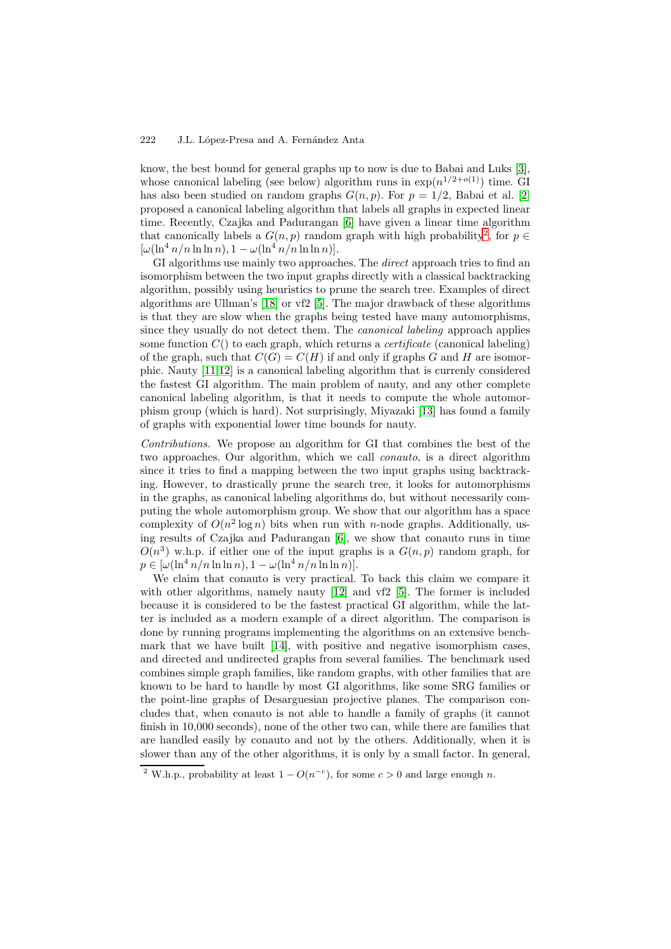#### 222 J.L. López-Presa and A. Fernández Anta

know, the best bound for general graphs up to now is due to Babai and Luks [3], whose canonical labeling (see below) algorithm runs in  $\exp(n^{1/2+o(1)})$  time. GI has also been studied on random graphs  $G(n, p)$ . For  $p = 1/2$ , Babai et al. [2] proposed a canonical labeling algorithm that labels all graphs in expected linear time. Recently, Czajka and Padurangan [6] have given a linear time algorit[hm](#page-11-5) that canonically labels a  $G(n, p)$  random graph with high probability<sup>2</sup>, for  $p \in$  $[\omega(\ln^4 n/n \ln \ln n), 1 - \omega(\ln^4 n/n \ln \ln n)].$ 

GI algorithms use mainly two approaches. The *direct* approach tries to find an isomorphism between the two input grap[hs d](#page-11-6)irectly with a classical backtracking algorithm, possibly using heuristics to prune the search tree. Examples of direct algorithms are Ullman's [18] or vf2 [5]. The major drawback of these algorithms is that they are slow when the graphs being tested have many automorphisms, since they usually do not detect them. The *canonical labeling* approach applies some function C() to each graph, which returns a *certificate* (canonical labeling) of the graph, such that  $C(G) = C(H)$  $C(G) = C(H)$  $C(G) = C(H)$  $C(G) = C(H)$  if and only if graphs G and H are isomorphic. Nauty [11,12] is a canonical labeling algorithm that is currenly considered the fastest GI algorithm. The main problem of nauty, and any other complete canonical labeling algorithm, is that it needs to compute the whole automorphism group (which is hard). Not surprisingly, Miyazaki [13] has found a family of graphs wi[th](#page-11-9) [exp](#page-11-10)onential lower time bounds for nauty.

*Contributions.* We propose an algorithm for GI that combines the best of the two approaches. Our algorithm, which we call *conauto*, is a direct algorithm since it tries to find a mapping between the two input g[rap](#page-11-11)hs using backtracking. However, to drastically prune the search tree, it looks for automorphisms in the graphs, as canonical labeling algorithms do, but without necessarily computing the whole automorphism group. We show that our algorithm has a space complexity of  $O(n^2 \log n)$  bits when run with *n*-node graphs. Additionally, using results of Czajka and Padurangan [6], we show that conauto runs in time  $O(n^3)$  w.h.p. if either one of the input graphs is a  $G(n, p)$  random graph, for  $p \in [\omega(\ln^4 n/n \ln \ln n), 1 - \omega(\ln^4 n/n \ln \ln n)].$ 

We claim that conauto is very practical. To back this claim we compare it with other algorithms, namely nauty  $[12]$  $[12]$  $[12]$  and vf2  $[5]$ . The former is included because it is considered to be the fastest practical GI algorithm, while the latter is included as a modern example of a direct algorithm. The comparison is done by running programs implementing the algorithms on an extensive benchmark that we have built [14], with p[osit](#page-11-10)ive and n[eg](#page-11-8)ative isomorphism cases, and directed and undirected graphs from several families. The benchmark used combines simple graph families, like random graphs, with other families that are known to be hard to handle by most GI algorithms, like some SRG families or the point-line graphs of [Desa](#page-11-12)rguesian projective planes. The comparison concludes that, when conauto is not able to handle a family of graphs (it cannot finish in 10,000 seconds), none of the other two can, while there are families that are handled easily by conauto and not by the others. Additionally, when it is slower than any of the other algorithms, it is only by a small factor. In general,

<sup>&</sup>lt;sup>2</sup> W.h.p., probability at least  $1 - O(n^{-c})$ , for some  $c > 0$  and large enough *n*.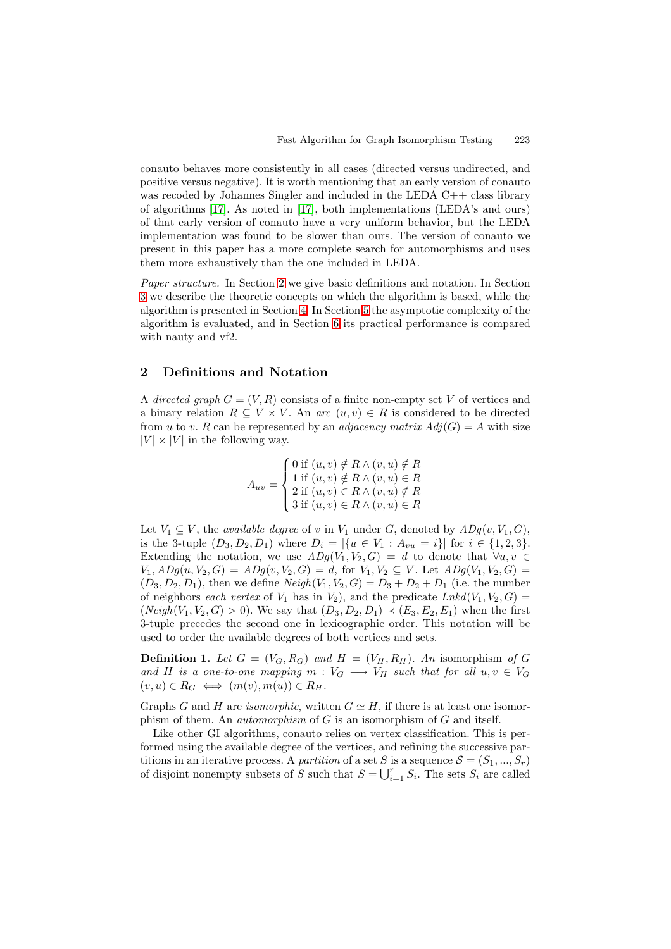conauto behaves more consistently in all cases (directed versus undirected, and positive versus negative). It is worth mentioning that an early version of conauto was recoded by Johannes Singler and included in the LEDA C++ class library of algorithms [17]. As noted in [17], both implementations (LEDA's and ours) of that early version of conauto have a very uniform behavior, but the LEDA implementation was found to be slower than ours. The version of conauto we present in this paper has a more complete search for automorphisms and uses them more ex[hau](#page-11-13)stively than th[e o](#page-11-13)ne included in LEDA.

*Paper structure.* In Section 2 we give basic definitions and notation. In Section 3 we describe the theoretic concepts on which the algorithm is based, while the algorithm is presented in Section 4. In Section 5 the asymptotic complexity of the algorithm is evaluated, and in Section 6 its practical performance is compared with nauty and vf2.

# **2 Definitions and Not[at](#page-6-0)ion**

A *directed graph*  $G = (V, R)$  consists of a finite non-empty set V of vertices and a binary relation  $R \subseteq V \times V$ . An *arc*  $(u, v) \in R$  is considered to be directed from u to v. R can be represented by an *adjacency matrix*  $Adj(G) = A$  with size  $|V| \times |V|$  in the following way.

$$
A_{uv} = \begin{cases} 0 \text{ if } (u, v) \notin R \land (v, u) \notin R \\ 1 \text{ if } (u, v) \notin R \land (v, u) \in R \\ 2 \text{ if } (u, v) \in R \land (v, u) \notin R \\ 3 \text{ if } (u, v) \in R \land (v, u) \in R \end{cases}
$$

Let  $V_1 \subseteq V$ , the *available degree* of v in  $V_1$  under G, denoted by  $ADg(v, V_1, G)$ , is the 3-tuple  $(D_3, D_2, D_1)$  where  $D_i = |\{u \in V_1 : A_{vu} = i\}|$  for  $i \in \{1, 2, 3\}.$ Extending the notation, we use  $ADg(V_1, V_2, G) = d$  to denote that  $\forall u, v \in$  $V_1, ADg(u, V_2, G) = ADg(v, V_2, G) = d$ , for  $V_1, V_2 \subseteq V$ . Let  $ADg(V_1, V_2, G) =$  $(D_3, D_2, D_1)$ , then we define  $Neigh(V_1, V_2, G) = D_3 + D_2 + D_1$  (i.e. the number of neighbors *each vertex* of  $V_1$  has in  $V_2$ ), and the predicate  $Lnkd(V_1, V_2, G)$  $(Neigh(V_1, V_2, G) > 0)$ . We say that  $(D_3, D_2, D_1) \prec (E_3, E_2, E_1)$  when the first 3-tuple precedes the second one in lexicographic order. This notation will be used to order the available degrees of both vertices and sets.

**Definition 1.** Let  $G = (V_G, R_G)$  and  $H = (V_H, R_H)$ . An isomorphism of G and H is a one-to-one mapping  $m: V_G \longrightarrow V_H$  such that for all  $u, v \in V_G$  $(v, u) \in R_G \iff (m(v), m(u)) \in R_H.$ 

Graphs G and H are *isomorphic*, written  $G \simeq H$ , if there is at least one isomorphism of them. An *automorphism* of G is an isomorphism of G and itself.

Like other GI algorithms, conauto relies on vertex classification. This is performed using the available degree of the vertices, and refining the successive partitions in an iterative process. A *partition* of a set S is a sequence  $S = (S_1, ..., S_r)$ of disjoint nonempty subsets of S such that  $S = \bigcup_{i=1}^{r} S_i$ . The sets  $S_i$  are called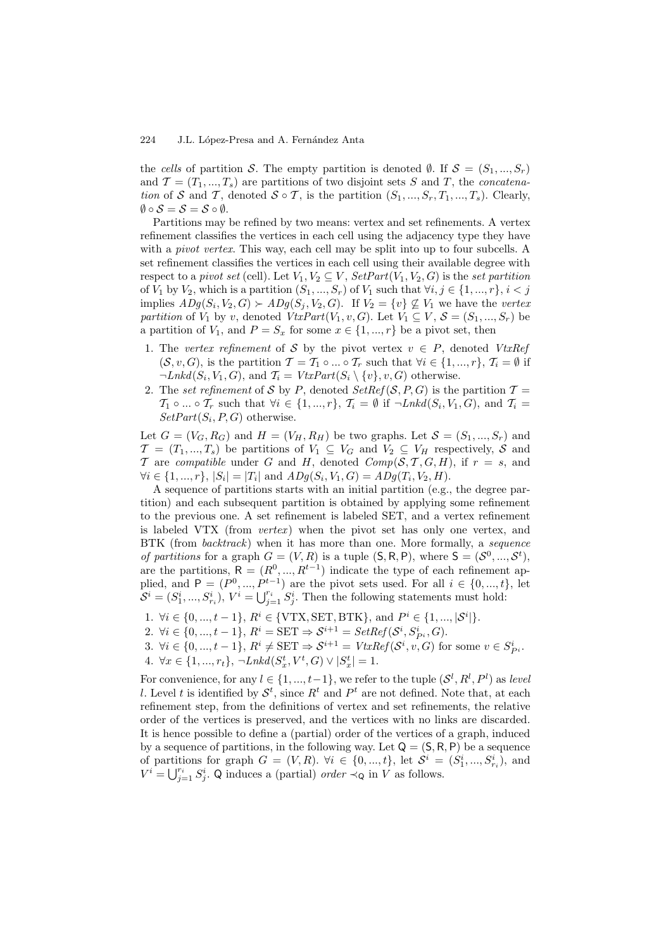the *cells* of partition S. The empty partition is denoted  $\emptyset$ . If  $S = (S_1, ..., S_r)$ and  $\mathcal{T} = (T_1, ..., T_s)$  are partitions of two disjoint sets S and T, the *concatenation* of S and T, denoted  $S \circ T$ , is the partition  $(S_1, ..., S_r, T_1, ..., T_s)$ . Clearly,  $\emptyset \circ \mathcal{S} = \mathcal{S} = \mathcal{S} \circ \emptyset.$ 

Partitions may be refined by two means: vertex and set refinements. A vertex refinement classifies the vertices in each cell using the adjacency type they have with a *pivot vertex*. This way, each cell may be split into up to four subcells. A set refinement classifies the vertices in each cell using their available degree with respect to a *pivot set* (cell). Let  $V_1, V_2 \subseteq V$ ,  $SetPart(V_1, V_2, G)$  is the *set partition* of  $V_1$  by  $V_2$ , which is a partition  $(S_1, ..., S_r)$  of  $V_1$  such that  $\forall i, j \in \{1, ..., r\}, i < j$ implies  $ADg(S_i, V_2, G) \succ ADg(S_j, V_2, G)$ . If  $V_2 = \{v\} \not\subseteq V_1$  we have the *vertex partition* of  $V_1$  by v, denoted  $VtxPart(V_1, v, G)$ . Let  $V_1 \subseteq V$ ,  $S = (S_1, ..., S_r)$  be a partition of  $V_1$ , and  $P = S_x$  for some  $x \in \{1, ..., r\}$  be a pivot set, then

- 1. The *vertex refinement* of S by the pivot vertex  $v \in P$ , denoted *VtxRef*  $(S, v, G)$ , is the partition  $\mathcal{T} = \mathcal{T}_1 \circ ... \circ \mathcal{T}_r$  such that  $\forall i \in \{1, ..., r\}, \mathcal{T}_i = \emptyset$  if  $\neg Lnkd(S_i, V_1, G)$ , and  $\mathcal{T}_i = VtxPart(S_i \setminus \{v\}, v, G)$  otherwise.
- 2. The *set refinement* of S by P, denoted  $SetRef(S, P, G)$  is the partition  $T =$  $\mathcal{T}_1 \circ \dots \circ \mathcal{T}_r$  such that  $\forall i \in \{1, ..., r\}, \mathcal{T}_i = \emptyset$  if  $\neg \textit{Lnkd}(S_i, V_1, G)$ , and  $\mathcal{T}_i =$  $SetPart(S_i, P, G)$  otherwise.

Let  $G = (V_G, R_G)$  and  $H = (V_H, R_H)$  be two graphs. Let  $S = (S_1, ..., S_r)$  and  $\mathcal{T} = (T_1, ..., T_s)$  be partitions of  $V_1 \subseteq V_G$  and  $V_2 \subseteq V_H$  respectively, S and T are *compatible* under G and H, denoted  $Comp(S, T, G, H)$ , if  $r = s$ , and  $\forall i \in \{1, ..., r\}, |S_i| = |T_i|$  and  $\overline{ABg}(S_i, V_1, G) = \overline{ADg}(T_i, V_2, H).$ 

A sequence of partitions starts with an initial partition (e.g., the degree partition) and each subsequent partition is obtained by applying some refinement to the previous one. A set refinement is labeled SET, and a vertex refinement is labeled VTX (from *vertex*) when the pivot set has only one vertex, and BTK (from *backtrack*) when it has more than one. More formally, a *sequence of partitions* for a graph  $G = (V, R)$  is a tuple  $(S, R, P)$ , where  $S = (S^0, ..., S^t)$ , are the partitions,  $R = (R^0, ..., R^{t-1})$  indicate the type of each refinement applied, and  $P = (P^0, ..., P^{t-1})$  are the pivot sets used. For all  $i \in \{0, ..., t\}$ , let  $S^i = (S^i_1, ..., S^i_{r_i}), V^i = \bigcup_{j=1}^{r_i} S^i_j$ . Then the following statements must hold:

- 1.  $\forall i \in \{0, ..., t-1\}, R^i \in \{\text{VTX}, \text{SET}, \text{BTK}\}, \text{and } P^i \in \{1, ..., |\mathcal{S}^i|\}.$
- 2.  $\forall i \in \{0, ..., t-1\}, R^i = \text{SET} \Rightarrow \mathcal{S}^{i+1} = \text{SetRef}(\mathcal{S}^i, S^i_{P^i}, G).$
- 3.  $\forall i \in \{0, ..., t-1\}, R^i \neq \text{SET} \Rightarrow \mathcal{S}^{i+1} = VtxRef(\mathcal{S}^i, v, G)$  for some  $v \in S_{P^i}^i$ .
- 4.  $\forall x \in \{1, ..., r_t\}, \ \neg Lnkd(S_x^t, V^t, G) \lor |S_x^t| = 1.$

For convenience, for any  $l \in \{1, ..., t-1\}$ , we refer to the tuple  $(\mathcal{S}^l, R^l, P^l)$  as *level* l. Level t is identified by  $S^t$ , since  $R^t$  and  $P^t$  are not defined. Note that, at each refinement step, from the definitions of vertex and set refinements, the relative order of the vertices is preserved, and the vertices with no links are discarded. It is hence possible to define a (partial) order of the vertices of a graph, induced by a sequence of partitions, in the following way. Let  $Q = (S, R, P)$  be a sequence of partitions for graph  $G = (V, R)$ .  $\forall i \in \{0, ..., t\}$ , let  $S^i = (S^i_1, ..., S^i_{r_i})$ , and  $V^i = \bigcup_{j=1}^{r_i} S_j^i$ . Q induces a (partial) *order*  $\prec_Q$  in V as follows.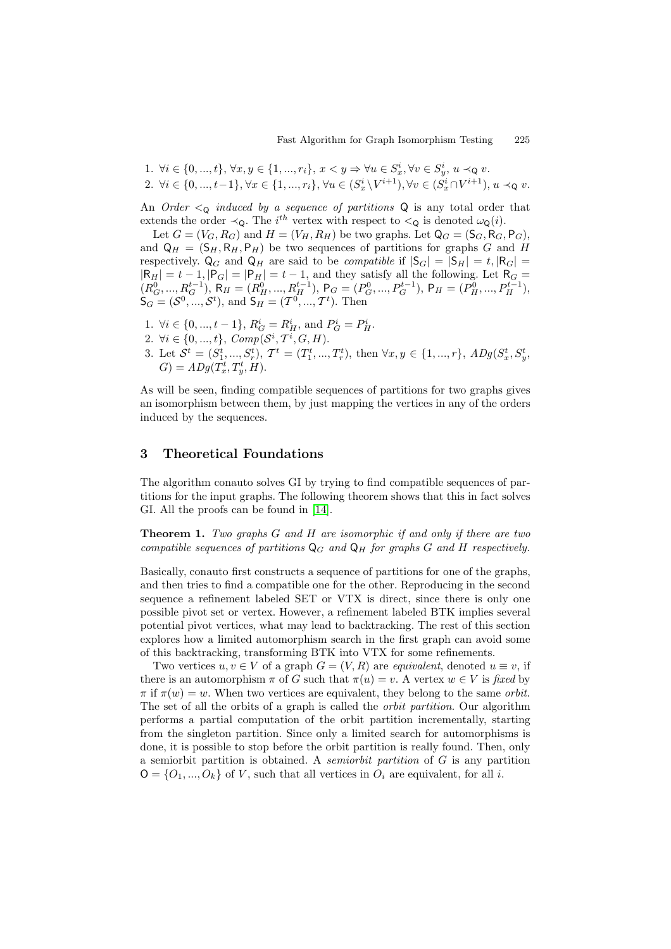1.  $\forall i \in \{0, ..., t\}, \forall x, y \in \{1, ..., r_i\}, x < y \Rightarrow \forall u \in S_x^i, \forall v \in S_y^i, u \prec_{\mathsf{Q}} v.$ 2.  $\forall i \in \{0, ..., t-1\}, \forall x \in \{1, ..., r_i\}, \forall u \in (S_x^i \setminus V^{i+1}), \forall v \in (S_x^i \cap V^{i+1}), u \prec_{\mathsf{Q}} v.$ 

An *Order*  $\lt_Q$  *induced by a sequence of partitions*  $\mathbb Q$  is any total order that extends the order  $\prec_Q$ . The i<sup>th</sup> vertex with respect to  $\prec_Q$  is denoted  $\omega_Q(i)$ .

Let  $G = (V_G, R_G)$  and  $H = (V_H, R_H)$  be two graphs. Let  $\mathsf{Q}_G = (\mathsf{S}_G, \mathsf{R}_G, \mathsf{P}_G)$ , and  $Q_H = (S_H, R_H, P_H)$  be two sequences of partitions for graphs G and H respectively.  $\mathsf{Q}_G$  and  $\mathsf{Q}_H$  are said to be *compatible* if  $|\mathsf{S}_G| = |\mathsf{S}_H| = t, |\mathsf{R}_G| =$  $|R_H| = t - 1, |P_G| = |P_H| = t - 1$ , and they satisfy all the following. Let  $R_G =$  $(R_G^0, ..., R_G^{t-1}), R_H = (R_H^0, ..., R_H^{t-1}), P_G = (P_G^0, ..., P_G^{t-1}), P_H = (P_H^0, ..., P_H^{t-1}),$  $S_G = (S^0, ..., S^t)$ , and  $S_H = (T^0, ..., T^t)$ . Then

- 1.  $\forall i \in \{0, ..., t-1\}, R_G^i = R_H^i$ , and  $P_G^i = P_H^i$ .
- 2.  $\forall i \in \{0, ..., t\}, \textit{Comp}(\mathcal{S}^i, \mathcal{T}^i, G, H).$
- 3. Let  $S^t = (S_1^t, ..., S_r^t), T^t = (T_1^t, ..., T_r^t)$ , then  $\forall x, y \in \{1, ..., r\}, ADg(S_x^t, S_y^t,$  $G) = ADg(\dot{T_x^t}, T_y^t, H).$

As will be seen, finding compatible sequences of partitions for two graphs gives an isomorphism between them, by just mapping the vertices in any of the orders induced by the sequences.

# **3 Theoretical Foundations**

The algorithm conauto solves GI by trying to find compatible sequences of partitions for the input graphs. The following theorem shows that this in fact solves GI. All the proofs can be found in [14].

**Theorem 1.** *Two graphs* <sup>G</sup> *and* <sup>H</sup> *are isomorphic if and only if there are two compatible sequences of partitions*  $\mathbb{Q}_G$  *and*  $\mathbb{Q}_H$  *for graphs* G *and* H *respectively.* 

<span id="page-4-0"></span>Basically, conauto first constructs [a](#page-11-12) [seq](#page-11-12)uence of partitions for one of the graphs, and then tries to find a compatible one for the other. Reproducing in the second sequence a refinement labeled SET or VTX is direct, since there is only one possible pivot set or vertex. However, a refinement labeled BTK implies several potential pivot vertices, what may lead to backtracking. The rest of this section explores how a limited automorphism search in the first graph can avoid some of this backtracking, transforming BTK into VTX for some refinements.

Two vertices  $u, v \in V$  of a graph  $G = (V, R)$  are *equivalent*, denoted  $u \equiv v$ , if there is an automorphism  $\pi$  of G such that  $\pi(u) = v$ . A vertex  $w \in V$  is *fixed* by  $\pi$  if  $\pi(w) = w$ . When two vertices are equivalent, they belong to the same *orbit*. The set of all the orbits of a graph is called the *orbit partition*. Our algorithm performs a partial computation of the orbit partition incrementally, starting from the singleton partition. Since only a limited search for automorphisms is done, it is possible to stop before the orbit partition is really found. Then, only a semiorbit partition is obtained. A *semiorbit partition* of G is any partition  $O = \{O_1, ..., O_k\}$  of V, such that all vertices in  $O_i$  are equivalent, for all i.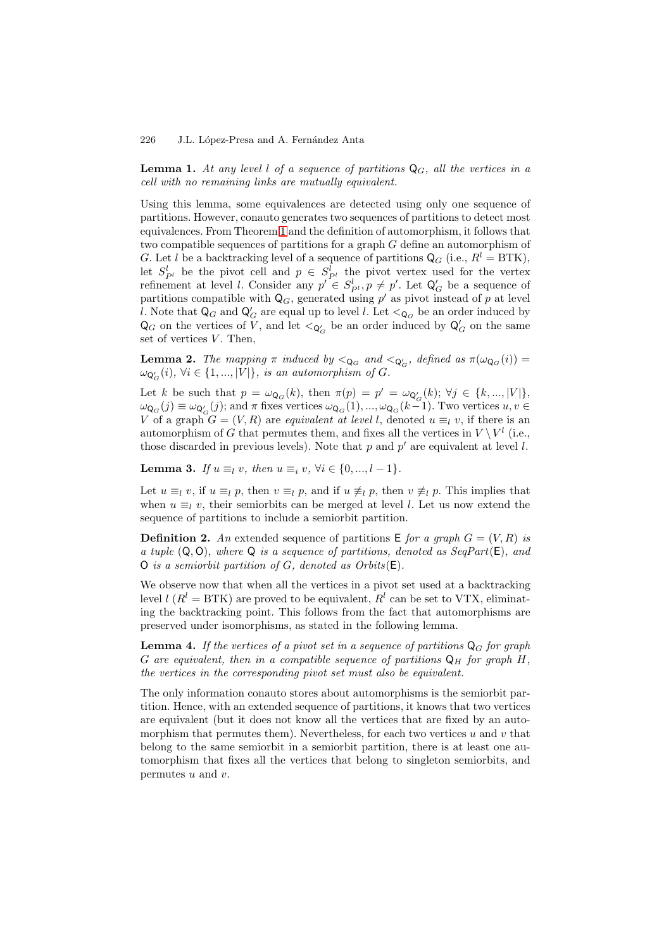#### 226 J.L. López-Presa and A. Fernández Anta

**Lemma 1.** At any level l of a sequence of partitions  $\mathbb{Q}_G$ , all the vertices in a *cell with no remaining links are mutually equivalent.*

Using this lemma, some equivalences are detected using only one sequence of partitions. However, conauto generates two sequences of partitions to detect most equivalences. From Theorem 1 and the definition of automorphism, it follows that two compatible sequences of partitions for a graph G define an automorphism of G. Let l be a backtracking level of a sequence of partitions  $Q_G$  (i.e.,  $R^l = BTK$ ), let  $S_{P^l}^l$  be the pivot cell and  $p \in S_{P^l}^l$  the pivot vertex used for the vertex refinement at level *l*. Consi[der](#page-4-0) any  $p' \in S_{P^l}^l$ ,  $p \neq p'$ . Let  $\mathsf{Q}_G'$  be a sequence of partitions compatible with  $\mathsf{Q}_G$ , generated using p' as pivot instead of p at level l. Note that  $\mathsf{Q}_G$  and  $\mathsf{Q}_G'$  are equal up to level l. Let  $\mathsf{Q}_G$  be an order induced by  $\mathsf{Q}_G$  on the vertices of V, and let  $\langle \mathsf{Q}'_G \rangle$  be an order induced by  $\mathsf{Q}'_G$  on the same set of vertices  $V$ . Then,

**Lemma 2.** The mapping  $\pi$  induced by  $\lt_{Q_G}$  and  $\lt_{Q'_G}$ <br>(i)  $\forall i \in \{1, \dots, |V|\}$  is an automorphism of  $G$  $\sigma_G$ *, defined as*  $\pi(\omega_{\mathsf{Q}_G}(i)) =$  $\omega_{\mathsf{Q}_G'}(i)$ ,  $\forall i \in \{1, ..., |V|\}$ , is an automorphism of G.

<span id="page-5-0"></span>Let k be such that  $p = \omega_{\mathbf{Q}_G}(k)$ , then  $\pi(p) = p' = \omega_{\mathbf{Q}'_G}(k)$ ;  $\forall j \in \{k, ..., |V|\},$  $\omega_{\mathbf{Q}_G}(j) \equiv \omega_{\mathbf{Q}_G}(j)$ ; and  $\pi$  fixes vertices  $\omega_{\mathbf{Q}_G}(1), \ldots, \omega_{\mathbf{Q}_G}(k-1)$ . Two vertices  $u, v \in$ V of a graph  $G = (V, R)$  are *equivalent at level l*, denoted  $u \equiv_l v$ , if there is an automorphism of G that permutes them, and fixes all the vertices in  $V \setminus V^l$  (i.e., those discarded in previous levels). Note that  $p$  and  $p'$  are equivalent at level  $l$ .

**Lemma 3.** *If*  $u \equiv_l v$ *, then*  $u \equiv_i v$ *,*  $\forall i \in \{0, ..., l - 1\}$ *.* 

<span id="page-5-1"></span>Let  $u \equiv_l v$ , if  $u \equiv_l p$ , then  $v \equiv_l p$ , and if  $u \not\equiv_l p$ , then  $v \not\equiv_l p$ . This implies that when  $u \equiv_l v$ , their semiorbits can be merged at level l. Let us now extend the sequence of partitions to include a semiorbit partition.

**Definition 2.** An extended sequence of partitions  $E$  *for a graph*  $G = (V, R)$  *is a tuple* (Q, O)*, where* Q *is a sequence of partitions, denoted as SeqPart*(E)*, and* O *is a semiorbit partition of* G*, denoted as Orbits*(E)*.*

We observe now that when all the vertices in a pivot set used at a backtracking level  $l (R^l = BTK)$  are proved to be equivalent,  $R^l$  can be set to VTX, eliminating the backtracking point. This follows from the fact that automorphisms are preserved under isomorphisms, as stated in the following lemma.

**Lemma 4.** If the vertices of a pivot set in a sequence of partitions  $\mathbb{Q}_G$  for graph G are equivalent, then in a compatible sequence of partitions  $Q_H$  for graph  $H$ , *the vertices in the corresponding pivot set must also be equivalent.*

<span id="page-5-2"></span>The only information conauto stores about automorphisms is the semiorbit partition. Hence, with an extended sequence of partitions, it knows that two vertices are equivalent (but it does not know all the vertices that are fixed by an automorphism that permutes them). Nevertheless, for each two vertices u and v that belong to the same semiorbit in a semiorbit partition, there is at least one automorphism that fixes all the vertices that belong to singleton semiorbits, and permutes  $u$  and  $v$ .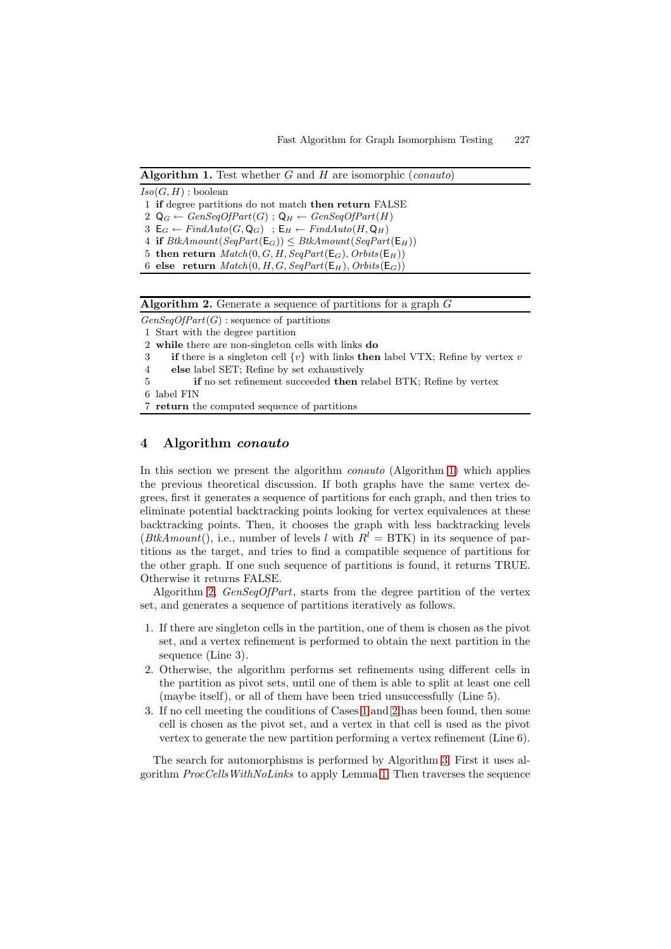**Algorithm 1.** Test whether <sup>G</sup> and <sup>H</sup> are isomorphic (*conauto*)

 $Iso(G, H)$ : boolean

1 **if** degree partitions do not match **then return** FALSE

2  $\mathsf{Q}_G \leftarrow GenSeqOfPart(G)$ ;  $\mathsf{Q}_H \leftarrow GenSeqOfPart(H)$ 

3  $\mathsf{E}_G \leftarrow FindAuto(G, \mathsf{Q}_G)$ ;  $\mathsf{E}_H \leftarrow FindAuto(H, \mathsf{Q}_H)$ 

<span id="page-6-1"></span> $4$  **if**  $B$ tkAmount $(SeqPart(E_G)) \leq B$ tkAmount $(SeqPart(E_H))$ 5 **then return**  $Match(0, G, H, SeqPart(E_G), Orbits(E_H))$ 

6 **else** return  $Match(0, H, G, SeqPart(E_H), Orbits(E_G))$ 

**Algorithm 2.** Generate a sequence of partitions for a graph <sup>G</sup>

 $GenSeqOfPart(G)$ : sequence of partitions

1 Start with the degree partition

2 **while** there are non-singleton cells with links **do**

3 **if** there is a singleton cell {v} with links **then** label VTX; Refine by vertex v

<span id="page-6-2"></span>4 **else** label SET; Refine by set exhaustively

5 **if** no set refinement succeeded **then** relabel BTK; Refine by vertex

6 label FIN

7 **return** the computed sequence of partitions

# **4 Algorithm** *conauto*

<span id="page-6-0"></span>In this section we present the algorithm *conauto* (Algorithm 1) which applies the previous theoretical discussion. If both graphs have the same vertex degrees, first it generates a sequence of partitions for each graph, and then tries to eliminate potential backtracking points looking for vertex equivalences at these backtracking points. Then, it chooses the graph with less b[ack](#page-6-1)tracking levels (*BtkAmount*(), i.e., number of levels l with  $R^l = BTK$ ) in its sequence of partitions as the target, and tries to find a compatible sequence of partitions for the other graph. If one such sequence of partitions is found, it returns TRUE. Otherwise it returns FALSE.

Algorithm 2, *GenSeqOfPart*, starts from the degree partition of the vertex set, and generates a sequence of partitions iteratively as follows.

- 1. If there are singleton cells in the partition, one of them is chosen as the pivot set, and a [v](#page-6-2)ertex refinement is performed to obtain the next partition in the sequence (Line 3).
- <span id="page-6-3"></span>2. Otherwise, the algorithm performs set refinements using different cells in the partition as pivot sets, until one of them is able to split at least one cell (maybe itself), or all of them have been tried unsuccessfully (Line 5).
- <span id="page-6-4"></span>3. If no cell meeting the conditions of Cases 1 and 2 has been found, then some cell is chosen as the pivot set, and a vertex in that cell is used as the pivot vertex to generate the new partition performing a vertex refinement (Line 6).

The search for automorphisms is perform[ed](#page-6-3) by [Al](#page-6-4)gorithm 3. First it uses algorithm *ProcCellsWithNoLinks* to apply Lemma 1. Then traverses the sequence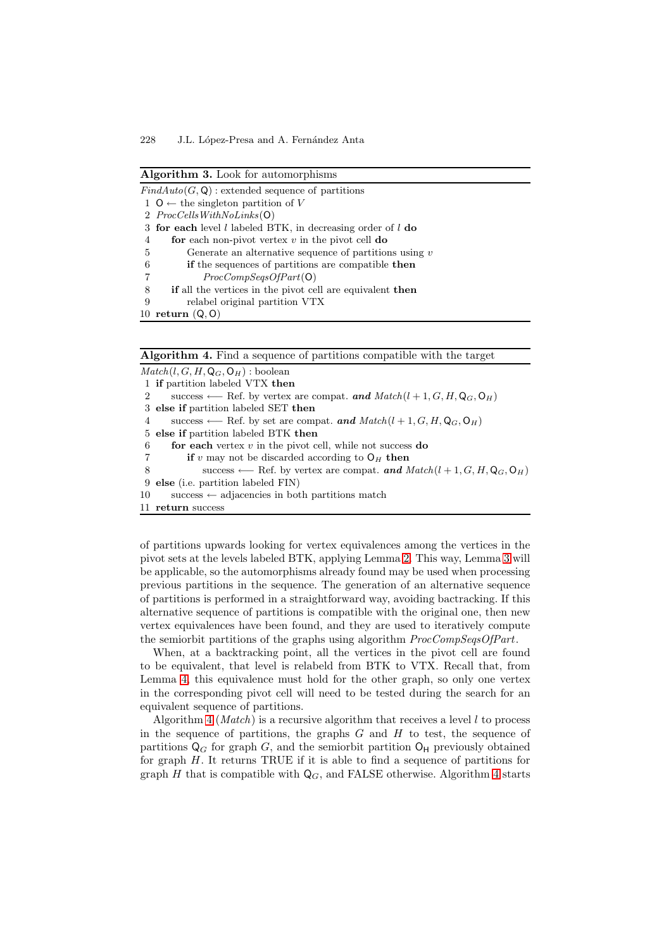| <b>Algorithm 3.</b> Look for automorphisms                    |
|---------------------------------------------------------------|
| $FindAuto(G, \mathbf{Q})$ : extended sequence of partitions   |
| $1 \ 0 \leftarrow$ the singleton partition of V               |
| 2 $ProcCells With No Links(O)$                                |
| 3 for each level l labeled BTK, in decreasing order of l do   |
| for each non-pivot vertex $v$ in the pivot cell do<br>4       |
| Generate an alternative sequence of partitions using $v$<br>5 |
| if the sequences of partitions are compatible then<br>6       |
| ProcCompSeasOfPart(O)<br>7                                    |
| $\cdot$ $\cdot$ $\cdot$ $\cdot$ $\cdot$ $\cdot$ $\cdot$       |

8 **if** all the vertices in the pivot cell are equivalent **then**

9 relabel original partition VTX

10 **return** (Q, O)

**Algorithm 4.** Find a sequence of partitions compatible with the target

<span id="page-7-0"></span> $Match(l, G, H, Q_G, O_H)$ : boolean 1 **if** partition labeled VTX **then** 2 success ← Ref. by vertex are compat. **and**  $Match(l + 1, G, H, Q_G, O_H)$ 3 **else if** partition labeled SET **then** 4 success ← Ref. by set are compat. **and**  $Match(l + 1, G, H, Q_G, O_H)$ 5 **else if** partition labeled BTK **then** 6 **for each** vertex v in the pivot cell, while not success **do** 7 **if** v may not be discarded according to  $O_H$  then 8 success ← Ref. by vertex are compat. **and**  $Match(l + 1, G, H, Q_G, O_H)$ 9 **else** (i.e. partition labeled FIN) 10 success  $\leftarrow$  adjacencies in both partitions match 11 **return** success

of partitions upwards looking for vertex equivalences among the vertices in the pivot sets at the levels labeled BTK, applying Lemma 2. This way, Lemma 3 will be applicable, so the automorphisms already found may be used when processing previous partitions in the sequence. The generation of an alternative sequence of partitions is performed in a straightforward way, avoiding bactracking. If this alternative sequence of partitions is compatible with [th](#page-5-0)e original one, the[n](#page-5-1) new vertex equivalences have been found, and they are used to iteratively compute the semiorbit partitions of the graphs using algorithm *ProcCompSeqsOfPart*.

When, at a backtracking point, all the vertices in the pivot cell are found to be equivalent, that level is relabeld from BTK to VTX. Recall that, from Lemma 4, this equivalence must hold for the other graph, so only one vertex in the corresponding pivot cell will need to be tested during the search for an equivalent sequence of partitions.

Algorithm 4 (*Match*) is a recursive algorithm that receives a level l to process in the [seq](#page-5-2)uence of partitions, the graphs  $G$  and  $H$  to test, the sequence of partitions  $\mathsf{Q}_G$  for graph G, and the semiorbit partition  $\mathsf{O}_\mathsf{H}$  previously obtained for graph  $H$ . It returns TRUE if it is able to find a sequence of partitions for graph H tha[t is](#page-7-0) compatible with  $Q_G$ , and FALSE otherwise. Algorithm 4 starts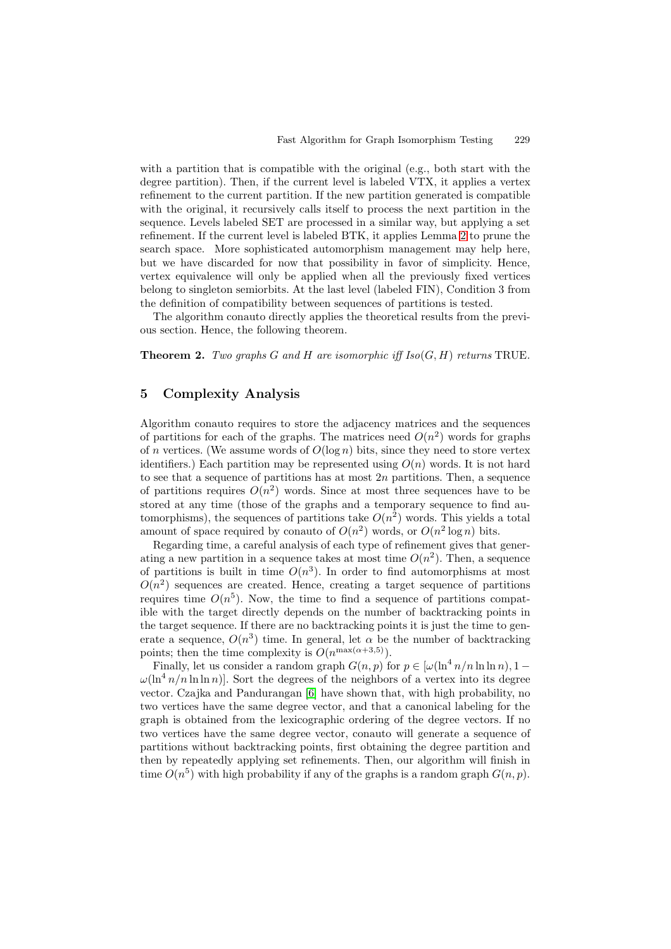with a partition that is compatible with the original (e.g., both start with the degree partition). Then, if the current level is labeled VTX, it applies a vertex refinement to the current partition. If the new partition generated is compatible with the original, it recursively calls itself to process the next partition in the sequence. Levels labeled SET are processed in a similar way, but applying a set refinement. If the current level is labeled BTK, it applies Lemma 2 to prune the search space. More sophisticated automorphism management may help here, but we have discarded for now that possibility in favor of simplicity. Hence, vertex equivalence will only be applied when all the previously fixed vertices belong to singleton semiorbits. At the last level (labeled FIN), C[ond](#page-5-0)ition 3 from the definition of compatibility between sequences of partitions is tested.

The algorithm conauto directly applies the theoretical results from the previous section. Hence, the following theorem.

**Theorem 2.** *Two graphs* G and H are isomorphic iff  $Iso(G, H)$  returns TRUE.

# **5 Complexity Analysis**

Algorithm conauto requires to store the adjacency matrices and the sequences of partitions for each of the graphs. The matrices need  $O(n^2)$  words for graphs of n vertices. (We assume words of  $O(\log n)$  bits, since they need to store vertex identifiers.) Each partition may be represented using  $O(n)$  words. It is not hard to see that a sequence of partitions has at most  $2n$  partitions. Then, a sequence of partitions requires  $O(n^2)$  words. Since at most three sequences have to be stored at any time (those of the graphs and a temporary sequence to find automorphisms), the sequences of partitions take  $O(n^2)$  words. This yields a total amount of space required by conauto of  $O(n^2)$  words, or  $O(n^2 \log n)$  bits.

Regarding time, a careful analysis of each type of refinement gives that generating a new partition in a sequence takes at most time  $O(n^2)$ . Then, a sequence of partitions is built in time  $O(n^3)$ . In order to find automorphisms at most  $O(n^2)$  sequences are created. Hence, creating a target sequence of partitions requires time  $O(n^5)$ . Now, the time to find a sequence of partitions compatible with the target directly depends on the number of backtracking points in the target sequence. If there are no backtracking points it is just the time to generate a sequence,  $O(n^3)$  time. In general, let  $\alpha$  be the number of backtracking points; then the time complexity is  $O(n^{\max(\alpha+3,5)})$ .

Finally, let us consider a random graph  $G(n, p)$  for  $p \in [\omega(\ln^4 n/n \ln \ln n), 1 \omega(\ln^4 n/n \ln \ln n)$ . Sort the degrees of the neighbors of a vertex into its degree vector. Czajka and Pandurangan [6] have shown that, with high probability, no two vertices have the same degree vector, and that a canonical labeling for the graph is obtained from the lexicographic ordering of the degree vectors. If no two vertices have the same degree vector, conauto will generate a sequence of partitions without backtracking p[oin](#page-11-6)ts, first obtaining the degree partition and then by repeatedly applying set refinements. Then, our algorithm will finish in time  $O(n^5)$  with high probability if any of the graphs is a random graph  $G(n, p)$ .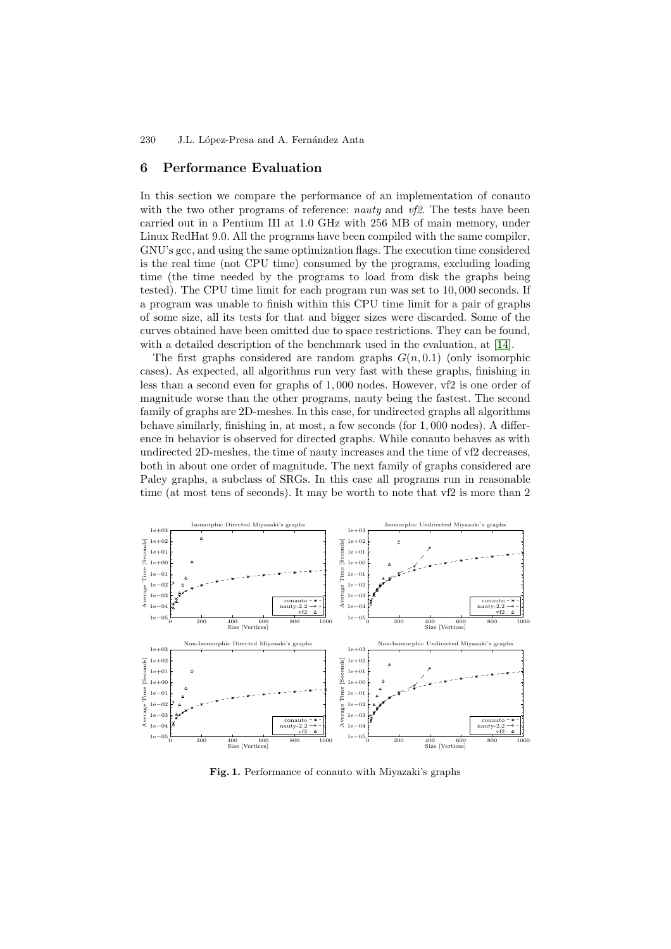#### **6 Performance Evaluation**

In this section we compare the performance of an implementation of conauto with the two other programs of reference: *nauty* and *vf2*. The tests have been carried out in a Pentium III at 1.0 GHz with 256 MB of main memory, under Linux RedHat 9.0. All the programs have been compiled with the same compiler, GNU's gcc, and using the same optimization flags. The execution time considered is the real time (not CPU time) consumed by the programs, excluding loading time (the time needed by the programs to load from disk the graphs being tested). The CPU time limit for each program run was set to 10, 000 seconds. If a program was unable to finish within this CPU time limit for a pair of graphs of some size, all its tests for that and bigger sizes were discarded. Some of the curves obtained have been omitted due to space restrictions. They can be found, with a detailed description of the benchmark used in the evaluation, at [14].

The first graphs considered are random graphs  $G(n, 0.1)$  (only isomorphic cases). As expected, all algorithms run very fast with these graphs, finishing in less than a second even for graphs of 1, 000 nodes. However, vf2 is one order of magnitude worse than the other programs, nauty being the fastest. The [sec](#page-11-12)ond family of graphs are 2D-meshes. In this case, for undirected graphs all algorithms behave similarly, finishing in, at most, a few seconds (for 1, 000 nodes). A difference in behavior is observed for directed graphs. While conauto behaves as with undirected 2D-meshes, the time of nauty increases and the time of vf2 decreases, both in about one order of magnitude. The next family of graphs considered are Paley graphs, a subclass of SRGs. In this case all programs run in reasonable time (at most tens of seconds). It may be worth to note that vf2 is more than 2



<span id="page-9-0"></span>**Fig. 1.** Performance of conauto with Miyazaki's graphs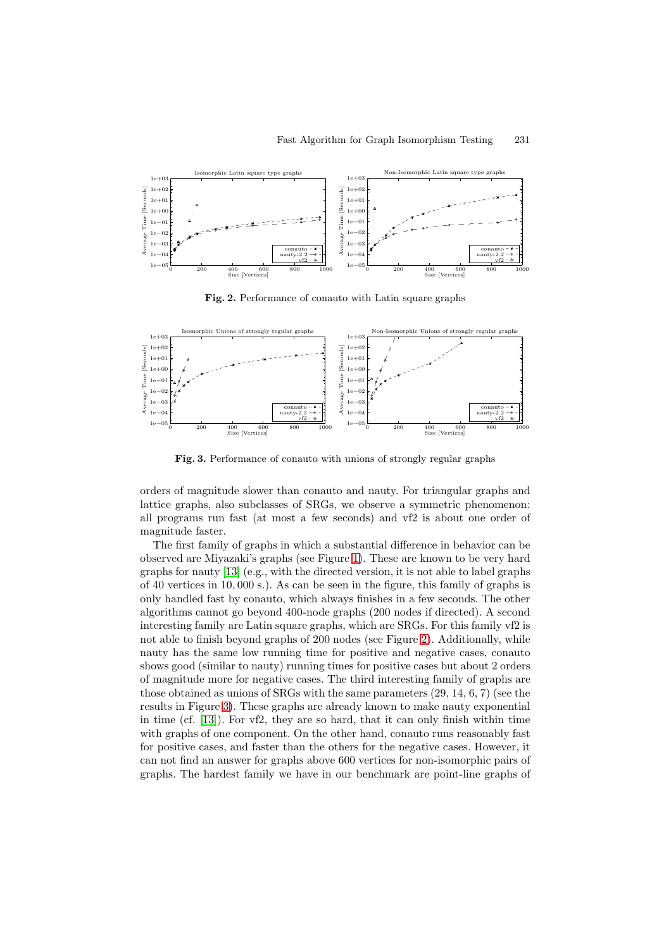

<span id="page-10-0"></span>**Fig. 2.** Performance of conauto with Latin square graphs



<span id="page-10-1"></span>**Fig. 3.** Performance of conauto with unions of strongly regular graphs

orders of magnitude slower than conauto and nauty. For triangular graphs and lattice graphs, also subclasses of SRGs, we observe a symmetric phenomenon: all programs run fast (at most a few seconds) and vf2 is about one order of magnitude faster.

The first family of graphs in which a substantial difference in behavior can be observed are Miyazaki's graphs (see Figure 1). These are known to be very hard graphs for nauty [13] (e.g., with the directed version, it is not able to label graphs of 40 vertices in 10, 000 s.). As can be seen in the figure, this family of graphs is only handled fast by conauto, which always finishes in a few seconds. The other algorithms cannot go beyond 400-node gra[ph](#page-9-0)s (200 nodes if directed). A second interesting famil[y ar](#page-11-11)e Latin square graphs, which are SRGs. For this family vf2 is not able to finish beyond graphs of 200 nodes (see Figure 2). Additionally, while nauty has the same low running time for positive and negative cases, conauto shows good (similar to nauty) running times for positive cases but about 2 orders of magnitude more for negative cases. The third interesting family of graphs are those obtained as unions of SRGs with the same paramete[rs](#page-10-0) (29, 14, 6, 7) (see the results in Figure 3). These graphs are already known to make nauty exponential in time (cf. [13]). For vf2, they are so hard, that it can only finish within time with graphs of one component. On the other hand, conauto runs reasonably fast for positive cases, and faster than the others for the negative cases. However, it can not find an [ans](#page-10-1)wer for graphs above 600 vertices for non-isomorphic pairs of graphs. The [ha](#page-11-11)rdest family we have in our benchmark are point-line graphs of